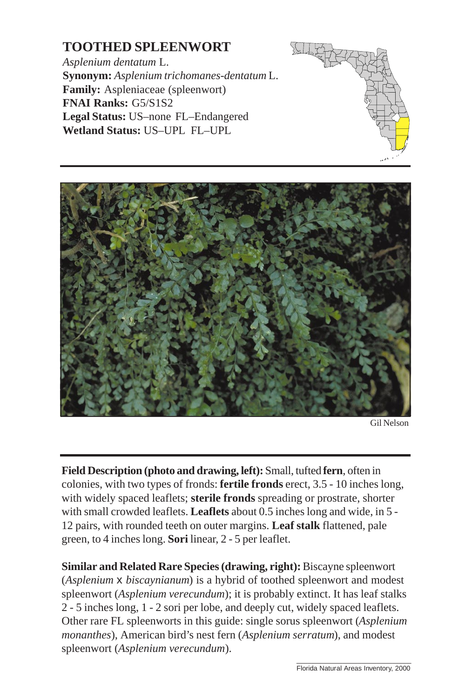## **TOOTHED SPLEENWORT**

*Asplenium dentatum* L. **Synonym:** *Asplenium trichomanes-dentatum* L. **Family:** Aspleniaceae (spleenwort) **FNAI Ranks:** G5/S1S2 **Legal Status:** US–none FL–Endangered **Wetland Status:** US–UPL FL–UPL







**Field Description (photo and drawing, left):** Small, tufted **fern**[, often in](http://www.fnai.org) colonies, with two types of fronds: **fertile fronds** erect, 3.5 - 10 inches long, with widely spaced leaflets; **sterile fronds** spreading or prostrate, shorter with small crowded leaflets. **Leaflets** about 0.5 inches long and wide, in 5 - 12 pairs, with rounded teeth on outer margins. **Leaf stalk** flattened, pale green, to 4 inches long. **Sori** linear, 2 - 5 per leaflet.

**Similar and Related Rare Species (drawing, right):** Biscayne spleenwort (*Asplenium* x *biscaynianum*) is a hybrid of toothed spleenwort and modest spleenwort (*Asplenium verecundum*); it is probably extinct. It has leaf stalks 2 - 5 inches long, 1 - 2 sori per lobe, and deeply cut, widely spaced leaflets. Other rare FL spleenworts in this guide: single sorus spleenwort (*Asplenium monanthes*), American bird's nest fern (*Asplenium serratum*), and modest spleenwort (*Asplenium verecundum*).